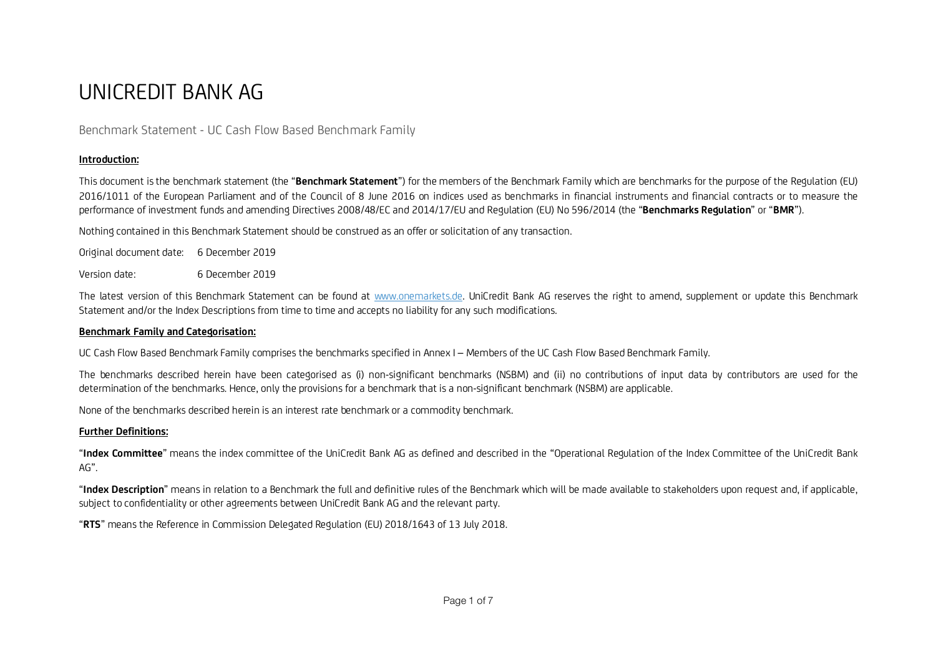# UNICREDIT BANK AG

## Benchmark Statement - UC Cash Flow Based Benchmark Family

### **Introduction:**

This document is the benchmark statement (the "**Benchmark Statement**") for the members of the Benchmark Family which are benchmarks for the purpose of the Regulation (EU) 2016/1011 of the European Parliament and of the Council of 8 June 2016 on indices used as benchmarks in financial instruments and financial contracts or to measure the performance of investment funds and amending Directives 2008/48/EC and 2014/17/EU and Regulation (EU) No 596/2014 (the "**Benchmarks Regulation**" or "**BMR**").

Nothing contained in this Benchmark Statement should be construed as an offer or solicitation of any transaction.

| Original document date: 6 December 2019 |                 |  |
|-----------------------------------------|-----------------|--|
| Version date:                           | 6 December 2019 |  |

The latest version of this Benchmark Statement can be found at www.onemarkets.de. UniCredit Bank AG reserves the right to amend, supplement or update this Benchmark Statement and/or the Index Descriptions from time to time and accepts no liability for any such modifications.

#### **Benchmark Family and Categorisation:**

UC Cash Flow Based Benchmark Family comprises the benchmarks specified in Annex I – Members of the UC Cash Flow Based Benchmark Family.

The benchmarks described herein have been categorised as (i) non-significant benchmarks (NSBM) and (ii) no contributions of input data by contributors are used for the determination of the benchmarks. Hence, only the provisions for a benchmark that is a non-significant benchmark (NSBM) are applicable.

None of the benchmarks described herein is an interest rate benchmark or a commodity benchmark.

#### **Further Definitions:**

"**Index Committee**" means the index committee of the UniCredit Bank AG as defined and described in the "Operational Regulation of the Index Committee of the UniCredit Bank AG".

"**Index Description**" means in relation to a Benchmark the full and definitive rules of the Benchmark which will be made available to stakeholders upon request and, if applicable, subject to confidentiality or other agreements between UniCredit Bank AG and the relevant party.

"**RTS**" means the Reference in Commission Delegated Regulation (EU) 2018/1643 of 13 July 2018.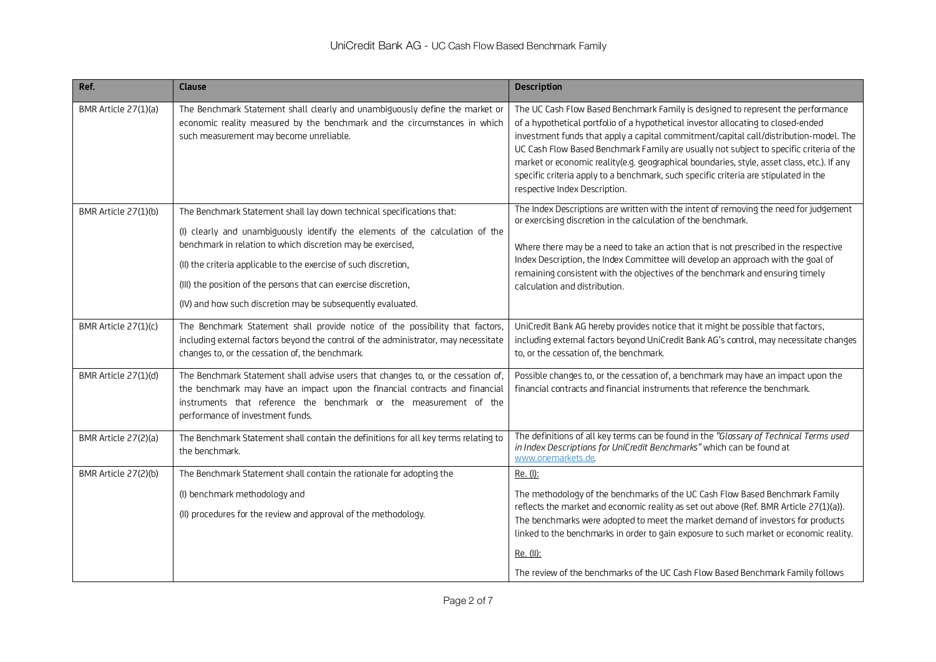| Ref.                 | <b>Clause</b>                                                                                                                                                                                                                                                                                                                                                                                                               | <b>Description</b>                                                                                                                                                                                                                                                                                                                                                                                                                                                                                                                                                               |
|----------------------|-----------------------------------------------------------------------------------------------------------------------------------------------------------------------------------------------------------------------------------------------------------------------------------------------------------------------------------------------------------------------------------------------------------------------------|----------------------------------------------------------------------------------------------------------------------------------------------------------------------------------------------------------------------------------------------------------------------------------------------------------------------------------------------------------------------------------------------------------------------------------------------------------------------------------------------------------------------------------------------------------------------------------|
| BMR Article 27(1)(a) | The Benchmark Statement shall clearly and unambiguously define the market or<br>economic reality measured by the benchmark and the circumstances in which<br>such measurement may become unreliable.                                                                                                                                                                                                                        | The UC Cash Flow Based Benchmark Family is designed to represent the performance<br>of a hypothetical portfolio of a hypothetical investor allocating to closed-ended<br>investment funds that apply a capital commitment/capital call/distribution-model. The<br>UC Cash Flow Based Benchmark Family are usually not subject to specific criteria of the<br>market or economic reality(e.g. geographical boundaries, style, asset class, etc.). If any<br>specific criteria apply to a benchmark, such specific criteria are stipulated in the<br>respective Index Description. |
| BMR Article 27(1)(b) | The Benchmark Statement shall lay down technical specifications that:<br>(I) clearly and unambiguously identify the elements of the calculation of the<br>benchmark in relation to which discretion may be exercised,<br>(II) the criteria applicable to the exercise of such discretion,<br>(III) the position of the persons that can exercise discretion,<br>(IV) and how such discretion may be subsequently evaluated. | The Index Descriptions are written with the intent of removing the need for judgement<br>or exercising discretion in the calculation of the benchmark.<br>Where there may be a need to take an action that is not prescribed in the respective<br>Index Description, the Index Committee will develop an approach with the goal of<br>remaining consistent with the objectives of the benchmark and ensuring timely<br>calculation and distribution.                                                                                                                             |
| BMR Article 27(1)(c) | The Benchmark Statement shall provide notice of the possibility that factors,<br>including external factors beyond the control of the administrator, may necessitate<br>changes to, or the cessation of, the benchmark.                                                                                                                                                                                                     | UniCredit Bank AG hereby provides notice that it might be possible that factors,<br>including external factors beyond UniCredit Bank AG's control, may necessitate changes<br>to, or the cessation of, the benchmark.                                                                                                                                                                                                                                                                                                                                                            |
| BMR Article 27(1)(d) | The Benchmark Statement shall advise users that changes to, or the cessation of,<br>the benchmark may have an impact upon the financial contracts and financial<br>instruments that reference the benchmark or the measurement of the<br>performance of investment funds.                                                                                                                                                   | Possible changes to, or the cessation of, a benchmark may have an impact upon the<br>financial contracts and financial instruments that reference the benchmark.                                                                                                                                                                                                                                                                                                                                                                                                                 |
| BMR Article 27(2)(a) | The Benchmark Statement shall contain the definitions for all key terms relating to<br>the benchmark.                                                                                                                                                                                                                                                                                                                       | The definitions of all key terms can be found in the "Glossary of Technical Terms used<br>in Index Descriptions for UniCredit Benchmarks" which can be found at<br>www.onemarkets.de                                                                                                                                                                                                                                                                                                                                                                                             |
| BMR Article 27(2)(b) | The Benchmark Statement shall contain the rationale for adopting the                                                                                                                                                                                                                                                                                                                                                        | Re. (I):                                                                                                                                                                                                                                                                                                                                                                                                                                                                                                                                                                         |
|                      | (I) benchmark methodology and<br>(II) procedures for the review and approval of the methodology.                                                                                                                                                                                                                                                                                                                            | The methodology of the benchmarks of the UC Cash Flow Based Benchmark Family<br>reflects the market and economic reality as set out above (Ref. BMR Article 27(1)(a)).<br>The benchmarks were adopted to meet the market demand of investors for products<br>linked to the benchmarks in order to gain exposure to such market or economic reality.<br>Re. (II):                                                                                                                                                                                                                 |
|                      |                                                                                                                                                                                                                                                                                                                                                                                                                             | The review of the benchmarks of the UC Cash Flow Based Benchmark Family follows                                                                                                                                                                                                                                                                                                                                                                                                                                                                                                  |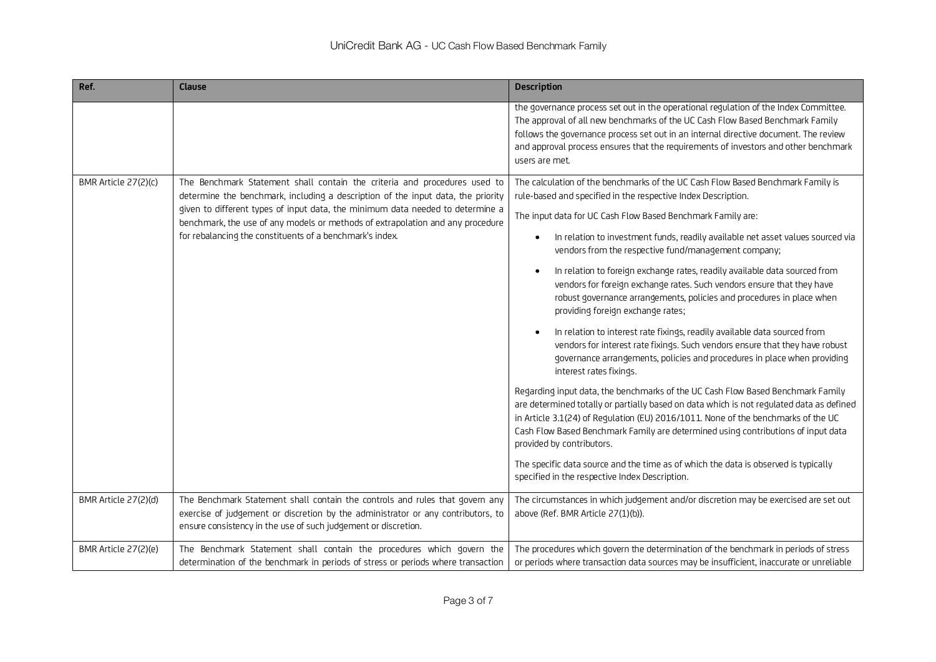| Ref.                 | Clause                                                                                                                                                                                                                                                                                                                                                                                        | <b>Description</b>                                                                                                                                                                                                                                                                                                                                                                                                                                                                                                                                                                                                                                                                                                                                                                                                                                                                                                                                                                                                                                                                                                                                                                                                                                                                                                                                                                                                                  |
|----------------------|-----------------------------------------------------------------------------------------------------------------------------------------------------------------------------------------------------------------------------------------------------------------------------------------------------------------------------------------------------------------------------------------------|-------------------------------------------------------------------------------------------------------------------------------------------------------------------------------------------------------------------------------------------------------------------------------------------------------------------------------------------------------------------------------------------------------------------------------------------------------------------------------------------------------------------------------------------------------------------------------------------------------------------------------------------------------------------------------------------------------------------------------------------------------------------------------------------------------------------------------------------------------------------------------------------------------------------------------------------------------------------------------------------------------------------------------------------------------------------------------------------------------------------------------------------------------------------------------------------------------------------------------------------------------------------------------------------------------------------------------------------------------------------------------------------------------------------------------------|
|                      |                                                                                                                                                                                                                                                                                                                                                                                               | the governance process set out in the operational regulation of the Index Committee.<br>The approval of all new benchmarks of the UC Cash Flow Based Benchmark Family<br>follows the governance process set out in an internal directive document. The review<br>and approval process ensures that the requirements of investors and other benchmark<br>users are met.                                                                                                                                                                                                                                                                                                                                                                                                                                                                                                                                                                                                                                                                                                                                                                                                                                                                                                                                                                                                                                                              |
| BMR Article 27(2)(c) | The Benchmark Statement shall contain the criteria and procedures used to<br>determine the benchmark, including a description of the input data, the priority<br>given to different types of input data, the minimum data needed to determine a<br>benchmark, the use of any models or methods of extrapolation and any procedure<br>for rebalancing the constituents of a benchmark's index. | The calculation of the benchmarks of the UC Cash Flow Based Benchmark Family is<br>rule-based and specified in the respective Index Description.<br>The input data for UC Cash Flow Based Benchmark Family are:<br>In relation to investment funds, readily available net asset values sourced via<br>vendors from the respective fund/management company;<br>In relation to foreign exchange rates, readily available data sourced from<br>vendors for foreign exchange rates. Such vendors ensure that they have<br>robust governance arrangements, policies and procedures in place when<br>providing foreign exchange rates;<br>In relation to interest rate fixings, readily available data sourced from<br>vendors for interest rate fixings. Such vendors ensure that they have robust<br>governance arrangements, policies and procedures in place when providing<br>interest rates fixings.<br>Regarding input data, the benchmarks of the UC Cash Flow Based Benchmark Family<br>are determined totally or partially based on data which is not regulated data as defined<br>in Article 3.1(24) of Regulation (EU) 2016/1011. None of the benchmarks of the UC<br>Cash Flow Based Benchmark Family are determined using contributions of input data<br>provided by contributors.<br>The specific data source and the time as of which the data is observed is typically<br>specified in the respective Index Description. |
| BMR Article 27(2)(d) | The Benchmark Statement shall contain the controls and rules that govern any<br>exercise of judgement or discretion by the administrator or any contributors, to<br>ensure consistency in the use of such judgement or discretion.                                                                                                                                                            | The circumstances in which judgement and/or discretion may be exercised are set out<br>above (Ref. BMR Article 27(1)(b)).                                                                                                                                                                                                                                                                                                                                                                                                                                                                                                                                                                                                                                                                                                                                                                                                                                                                                                                                                                                                                                                                                                                                                                                                                                                                                                           |
| BMR Article 27(2)(e) | The Benchmark Statement shall contain the procedures which govern the<br>determination of the benchmark in periods of stress or periods where transaction                                                                                                                                                                                                                                     | The procedures which govern the determination of the benchmark in periods of stress<br>or periods where transaction data sources may be insufficient, inaccurate or unreliable                                                                                                                                                                                                                                                                                                                                                                                                                                                                                                                                                                                                                                                                                                                                                                                                                                                                                                                                                                                                                                                                                                                                                                                                                                                      |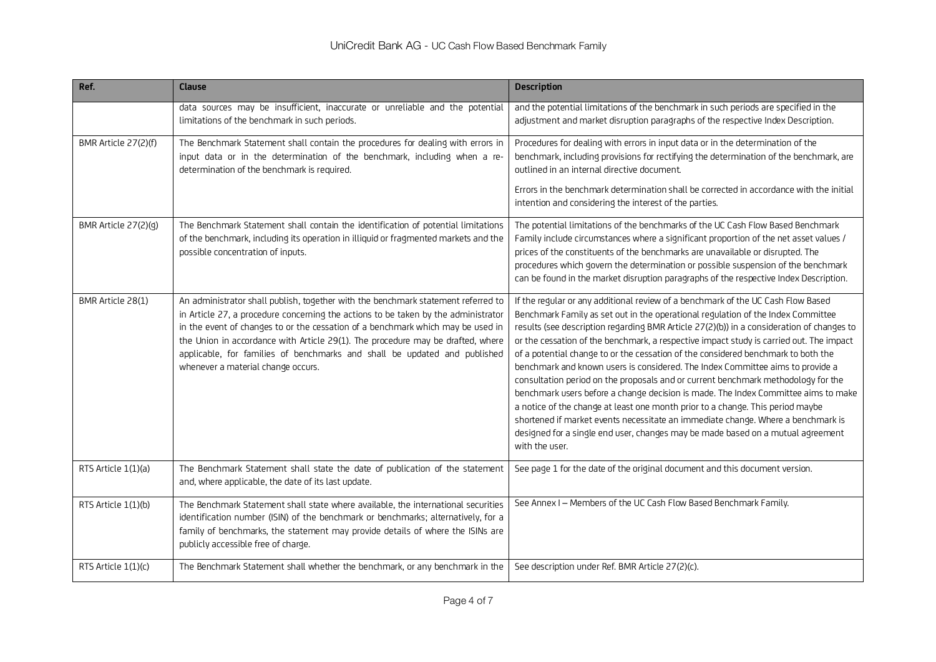| Ref.                 | <b>Clause</b>                                                                                                                                                                                                                                                                                                                                                                                                                                                    | <b>Description</b>                                                                                                                                                                                                                                                                                                                                                                                                                                                                                                                                                                                                                                                                                                                                                                                                                                                                                                                                                                        |
|----------------------|------------------------------------------------------------------------------------------------------------------------------------------------------------------------------------------------------------------------------------------------------------------------------------------------------------------------------------------------------------------------------------------------------------------------------------------------------------------|-------------------------------------------------------------------------------------------------------------------------------------------------------------------------------------------------------------------------------------------------------------------------------------------------------------------------------------------------------------------------------------------------------------------------------------------------------------------------------------------------------------------------------------------------------------------------------------------------------------------------------------------------------------------------------------------------------------------------------------------------------------------------------------------------------------------------------------------------------------------------------------------------------------------------------------------------------------------------------------------|
|                      | data sources may be insufficient, inaccurate or unreliable and the potential<br>limitations of the benchmark in such periods.                                                                                                                                                                                                                                                                                                                                    | and the potential limitations of the benchmark in such periods are specified in the<br>adjustment and market disruption paragraphs of the respective Index Description.                                                                                                                                                                                                                                                                                                                                                                                                                                                                                                                                                                                                                                                                                                                                                                                                                   |
| BMR Article 27(2)(f) | The Benchmark Statement shall contain the procedures for dealing with errors in<br>input data or in the determination of the benchmark, including when a re-<br>determination of the benchmark is required.                                                                                                                                                                                                                                                      | Procedures for dealing with errors in input data or in the determination of the<br>benchmark, including provisions for rectifying the determination of the benchmark, are<br>outlined in an internal directive document.<br>Errors in the benchmark determination shall be corrected in accordance with the initial<br>intention and considering the interest of the parties.                                                                                                                                                                                                                                                                                                                                                                                                                                                                                                                                                                                                             |
| BMR Article 27(2)(g) | The Benchmark Statement shall contain the identification of potential limitations<br>of the benchmark, including its operation in illiquid or fragmented markets and the<br>possible concentration of inputs.                                                                                                                                                                                                                                                    | The potential limitations of the benchmarks of the UC Cash Flow Based Benchmark<br>Family include circumstances where a significant proportion of the net asset values /<br>prices of the constituents of the benchmarks are unavailable or disrupted. The<br>procedures which govern the determination or possible suspension of the benchmark<br>can be found in the market disruption paragraphs of the respective Index Description.                                                                                                                                                                                                                                                                                                                                                                                                                                                                                                                                                  |
| BMR Article 28(1)    | An administrator shall publish, together with the benchmark statement referred to<br>in Article 27, a procedure concerning the actions to be taken by the administrator<br>in the event of changes to or the cessation of a benchmark which may be used in<br>the Union in accordance with Article 29(1). The procedure may be drafted, where<br>applicable, for families of benchmarks and shall be updated and published<br>whenever a material change occurs. | If the regular or any additional review of a benchmark of the UC Cash Flow Based<br>Benchmark Family as set out in the operational regulation of the Index Committee<br>results (see description regarding BMR Article 27(2)(b)) in a consideration of changes to<br>or the cessation of the benchmark, a respective impact study is carried out. The impact<br>of a potential change to or the cessation of the considered benchmark to both the<br>benchmark and known users is considered. The Index Committee aims to provide a<br>consultation period on the proposals and or current benchmark methodology for the<br>benchmark users before a change decision is made. The Index Committee aims to make<br>a notice of the change at least one month prior to a change. This period maybe<br>shortened if market events necessitate an immediate change. Where a benchmark is<br>designed for a single end user, changes may be made based on a mutual agreement<br>with the user. |
| RTS Article 1(1)(a)  | The Benchmark Statement shall state the date of publication of the statement<br>and, where applicable, the date of its last update.                                                                                                                                                                                                                                                                                                                              | See page 1 for the date of the original document and this document version.                                                                                                                                                                                                                                                                                                                                                                                                                                                                                                                                                                                                                                                                                                                                                                                                                                                                                                               |
| RTS Article 1(1)(b)  | The Benchmark Statement shall state where available, the international securities<br>identification number (ISIN) of the benchmark or benchmarks; alternatively, for a<br>family of benchmarks, the statement may provide details of where the ISINs are<br>publicly accessible free of charge.                                                                                                                                                                  | See Annex I - Members of the UC Cash Flow Based Benchmark Family.                                                                                                                                                                                                                                                                                                                                                                                                                                                                                                                                                                                                                                                                                                                                                                                                                                                                                                                         |
| RTS Article 1(1)(c)  | The Benchmark Statement shall whether the benchmark, or any benchmark in the                                                                                                                                                                                                                                                                                                                                                                                     | See description under Ref. BMR Article 27(2)(c).                                                                                                                                                                                                                                                                                                                                                                                                                                                                                                                                                                                                                                                                                                                                                                                                                                                                                                                                          |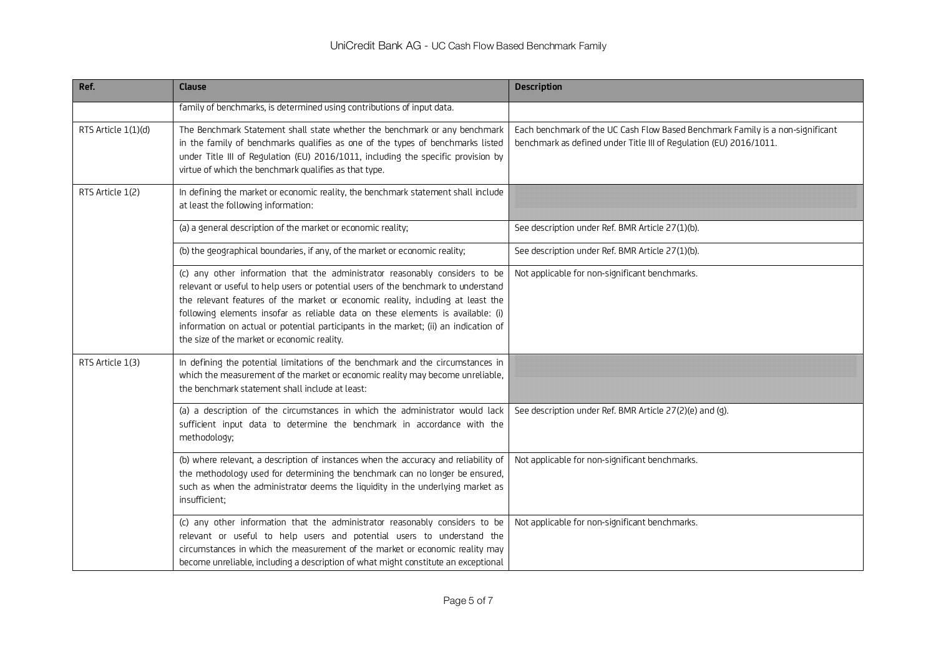| Ref.                | <b>Clause</b>                                                                                                                                                                                                                                                                                                                                                                                                                                                                  | <b>Description</b>                                                                                                                                   |
|---------------------|--------------------------------------------------------------------------------------------------------------------------------------------------------------------------------------------------------------------------------------------------------------------------------------------------------------------------------------------------------------------------------------------------------------------------------------------------------------------------------|------------------------------------------------------------------------------------------------------------------------------------------------------|
|                     | family of benchmarks, is determined using contributions of input data.                                                                                                                                                                                                                                                                                                                                                                                                         |                                                                                                                                                      |
| RTS Article 1(1)(d) | The Benchmark Statement shall state whether the benchmark or any benchmark<br>in the family of benchmarks qualifies as one of the types of benchmarks listed<br>under Title III of Regulation (EU) 2016/1011, including the specific provision by<br>virtue of which the benchmark qualifies as that type.                                                                                                                                                                     | Each benchmark of the UC Cash Flow Based Benchmark Family is a non-significant<br>benchmark as defined under Title III of Regulation (EU) 2016/1011. |
| RTS Article 1(2)    | In defining the market or economic reality, the benchmark statement shall include<br>at least the following information:                                                                                                                                                                                                                                                                                                                                                       |                                                                                                                                                      |
|                     | (a) a general description of the market or economic reality;                                                                                                                                                                                                                                                                                                                                                                                                                   | See description under Ref. BMR Article 27(1)(b).                                                                                                     |
|                     | (b) the geographical boundaries, if any, of the market or economic reality;                                                                                                                                                                                                                                                                                                                                                                                                    | See description under Ref. BMR Article 27(1)(b).                                                                                                     |
|                     | (c) any other information that the administrator reasonably considers to be<br>relevant or useful to help users or potential users of the benchmark to understand<br>the relevant features of the market or economic reality, including at least the<br>following elements insofar as reliable data on these elements is available: (i)<br>information on actual or potential participants in the market; (ii) an indication of<br>the size of the market or economic reality. | Not applicable for non-significant benchmarks.                                                                                                       |
| RTS Article 1(3)    | In defining the potential limitations of the benchmark and the circumstances in<br>which the measurement of the market or economic reality may become unreliable,<br>the benchmark statement shall include at least:                                                                                                                                                                                                                                                           |                                                                                                                                                      |
|                     | (a) a description of the circumstances in which the administrator would lack<br>sufficient input data to determine the benchmark in accordance with the<br>methodology;                                                                                                                                                                                                                                                                                                        | See description under Ref. BMR Article 27(2)(e) and (g).                                                                                             |
|                     | (b) where relevant, a description of instances when the accuracy and reliability of<br>the methodology used for determining the benchmark can no longer be ensured,<br>such as when the administrator deems the liquidity in the underlying market as<br>insufficient;                                                                                                                                                                                                         | Not applicable for non-significant benchmarks.                                                                                                       |
|                     | (c) any other information that the administrator reasonably considers to be<br>relevant or useful to help users and potential users to understand the<br>circumstances in which the measurement of the market or economic reality may<br>become unreliable, including a description of what might constitute an exceptional                                                                                                                                                    | Not applicable for non-significant benchmarks.                                                                                                       |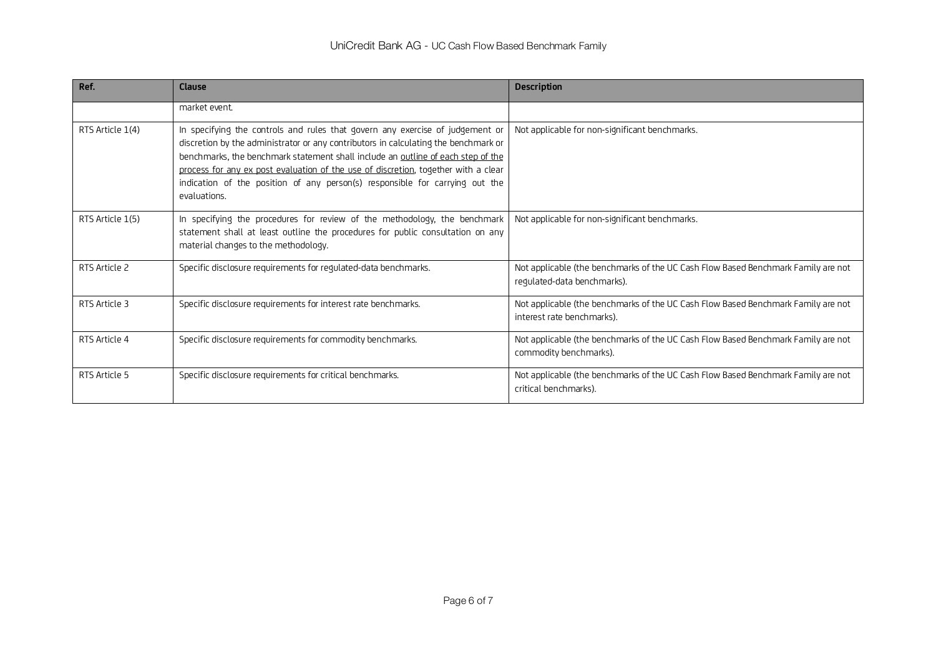| Ref.             | Clause                                                                                                                                                                                                                                                                                                                                                                                                                                         | <b>Description</b>                                                                                               |
|------------------|------------------------------------------------------------------------------------------------------------------------------------------------------------------------------------------------------------------------------------------------------------------------------------------------------------------------------------------------------------------------------------------------------------------------------------------------|------------------------------------------------------------------------------------------------------------------|
|                  | market event.                                                                                                                                                                                                                                                                                                                                                                                                                                  |                                                                                                                  |
| RTS Article 1(4) | In specifying the controls and rules that govern any exercise of judgement or<br>discretion by the administrator or any contributors in calculating the benchmark or<br>benchmarks, the benchmark statement shall include an outline of each step of the<br>process for any ex post evaluation of the use of discretion, together with a clear<br>indication of the position of any person(s) responsible for carrying out the<br>evaluations. | Not applicable for non-significant benchmarks.                                                                   |
| RTS Article 1(5) | In specifying the procedures for review of the methodology, the benchmark<br>statement shall at least outline the procedures for public consultation on any<br>material changes to the methodology.                                                                                                                                                                                                                                            | Not applicable for non-significant benchmarks.                                                                   |
| RTS Article 2    | Specific disclosure requirements for regulated-data benchmarks.                                                                                                                                                                                                                                                                                                                                                                                | Not applicable (the benchmarks of the UC Cash Flow Based Benchmark Family are not<br>regulated-data benchmarks). |
| RTS Article 3    | Specific disclosure requirements for interest rate benchmarks.                                                                                                                                                                                                                                                                                                                                                                                 | Not applicable (the benchmarks of the UC Cash Flow Based Benchmark Family are not<br>interest rate benchmarks).  |
| RTS Article 4    | Specific disclosure requirements for commodity benchmarks.                                                                                                                                                                                                                                                                                                                                                                                     | Not applicable (the benchmarks of the UC Cash Flow Based Benchmark Family are not<br>commodity benchmarks).      |
| RTS Article 5    | Specific disclosure requirements for critical benchmarks.                                                                                                                                                                                                                                                                                                                                                                                      | Not applicable (the benchmarks of the UC Cash Flow Based Benchmark Family are not<br>critical benchmarks).       |